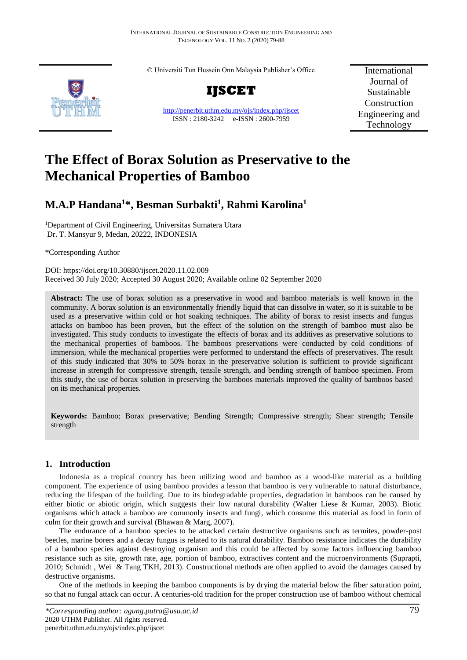© Universiti Tun Hussein Onn Malaysia Publisher's Office



**IJSCET**

<http://penerbit.uthm.edu.my/ojs/index.php/ijscet> ISSN : 2180-3242 e-ISSN : 2600-7959

International Journal of Sustainable Construction Engineering and Technology

# **The Effect of Borax Solution as Preservative to the Mechanical Properties of Bamboo**

# **M.A.P Handana<sup>1</sup>\*, Besman Surbakti<sup>1</sup> , Rahmi Karolina<sup>1</sup>**

<sup>1</sup>Department of Civil Engineering, Universitas Sumatera Utara Dr. T. Mansyur 9, Medan, 20222, INDONESIA

\*Corresponding Author

DOI: https://doi.org/10.30880/ijscet.2020.11.02.009 Received 30 July 2020; Accepted 30 August 2020; Available online 02 September 2020

**Abstract:** The use of borax solution as a preservative in wood and bamboo materials is well known in the community. A borax solution is an environmentally friendly liquid that can dissolve in water, so it is suitable to be used as a preservative within cold or hot soaking techniques. The ability of borax to resist insects and fungus attacks on bamboo has been proven, but the effect of the solution on the strength of bamboo must also be investigated. This study conducts to investigate the effects of borax and its additives as preservative solutions to the mechanical properties of bamboos. The bamboos preservations were conducted by cold conditions of immersion, while the mechanical properties were performed to understand the effects of preservatives. The result of this study indicated that 30% to 50% borax in the preservative solution is sufficient to provide significant increase in strength for compressive strength, tensile strength, and bending strength of bamboo specimen. From this study, the use of borax solution in preserving the bamboos materials improved the quality of bamboos based on its mechanical properties.

**Keywords:** Bamboo; Borax preservative; Bending Strength; Compressive strength; Shear strength; Tensile strength

# **1. Introduction**

Indonesia as a tropical country has been utilizing wood and bamboo as a wood-like material as a building component. The experience of using bamboo provides a lesson that bamboo is very vulnerable to natural disturbance, reducing the lifespan of the building. Due to its biodegradable properties, degradation in bamboos can be caused by either biotic or abiotic origin, which suggests their low natural durability (Walter Liese & Kumar, 2003). Biotic organisms which attack a bamboo are commonly insects and fungi, which consume this material as food in form of culm for their growth and survival (Bhawan & Marg, 2007).

The endurance of a bamboo species to be attacked certain destructive organisms such as termites, powder-post beetles, marine borers and a decay fungus is related to its natural durability. Bamboo resistance indicates the durability of a bamboo species against destroying organism and this could be affected by some factors influencing bamboo resistance such as site, growth rate, age, portion of bamboo, extractives content and the microenvironments (Suprapti, 2010; Schmidt , Wei & Tang TKH, 2013). Constructional methods are often applied to avoid the damages caused by destructive organisms.

One of the methods in keeping the bamboo components is by drying the material below the fiber saturation point, so that no fungal attack can occur. A centuries-old tradition for the proper construction use of bamboo without chemical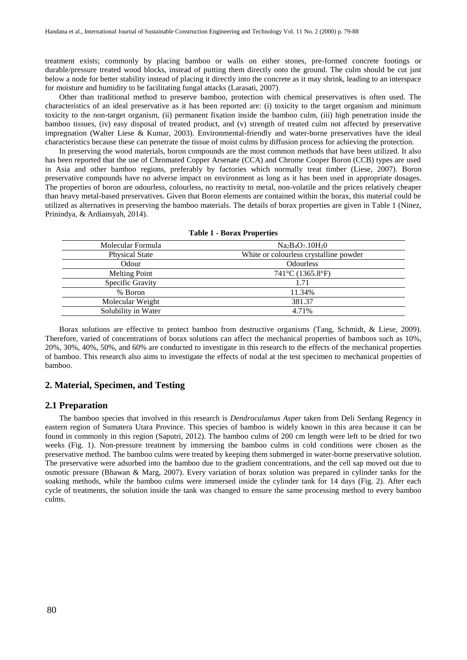treatment exists; commonly by placing bamboo or walls on either stones, pre-formed concrete footings or durable/pressure treated wood blocks, instead of putting them directly onto the ground. The culm should be cut just below a node for better stability instead of placing it directly into the concrete as it may shrink, leading to an interspace for moisture and humidity to be facilitating fungal attacks (Larasati, 2007).

Other than traditional method to preserve bamboo, protection with chemical preservatives is often used. The characteristics of an ideal preservative as it has been reported are: (i) toxicity to the target organism and minimum toxicity to the non-target organism, (ii) permanent fixation inside the bamboo culm, (iii) high penetration inside the bamboo tissues, (iv) easy disposal of treated product, and (v) strength of treated culm not affected by preservative impregnation (Walter Liese & Kumar, 2003). Environmental-friendly and water-borne preservatives have the ideal characteristics because these can penetrate the tissue of moist culms by diffusion process for achieving the protection.

In preserving the wood materials, boron compounds are the most common methods that have been utilized. It also has been reported that the use of Chromated Copper Arsenate (CCA) and Chrome Cooper Boron (CCB) types are used in Asia and other bamboo regions, preferably by factories which normally treat timber (Liese, 2007). Boron preservative compounds have no adverse impact on environment as long as it has been used in appropriate dosages. The properties of boron are odourless, colourless, no reactivity to metal, non-volatile and the prices relatively cheaper than heavy metal-based preservatives. Given that Boron elements are contained within the borax, this material could be utilized as alternatives in preserving the bamboo materials. The details of borax properties are given in Table 1 (Ninez, Prinindya, & Ardiansyah, 2014).

| $Na2B4O7$ .10H <sub>2</sub> O          |  |
|----------------------------------------|--|
| White or colourless crystalline powder |  |
| <b>Odourless</b>                       |  |
| 741°C (1365.8°F)                       |  |
| 1.71                                   |  |
| 11.34%                                 |  |
| 381.37                                 |  |
| 4.71%                                  |  |
|                                        |  |

|  |  |  |  |  | <b>Table 1 - Borax Properties</b> |
|--|--|--|--|--|-----------------------------------|
|--|--|--|--|--|-----------------------------------|

Borax solutions are effective to protect bamboo from destructive organisms (Tang, Schmidt, & Liese, 2009). Therefore, varied of concentrations of borax solutions can affect the mechanical properties of bamboos such as 10%, 20%, 30%, 40%, 50%, and 60% are conducted to investigate in this research to the effects of the mechanical properties of bamboo. This research also aims to investigate the effects of nodal at the test specimen to mechanical properties of bamboo.

## **2. Material, Specimen, and Testing**

#### **2.1 Preparation**

The bamboo species that involved in this research is *Dendrocalamus Asper* taken from Deli Serdang Regency in eastern region of Sumatera Utara Province. This species of bamboo is widely known in this area because it can be found in commonly in this region (Saputri, 2012). The bamboo culms of 200 cm length were left to be dried for two weeks (Fig. 1). Non-pressure treatment by immersing the bamboo culms in cold conditions were chosen as the preservative method. The bamboo culms were treated by keeping them submerged in water-borne preservative solution. The preservative were adsorbed into the bamboo due to the gradient concentrations, and the cell sap moved out due to osmotic pressure (Bhawan & Marg, 2007). Every variation of borax solution was prepared in cylinder tanks for the soaking methods, while the bamboo culms were immersed inside the cylinder tank for 14 days (Fig. 2). After each cycle of treatments, the solution inside the tank was changed to ensure the same processing method to every bamboo culms.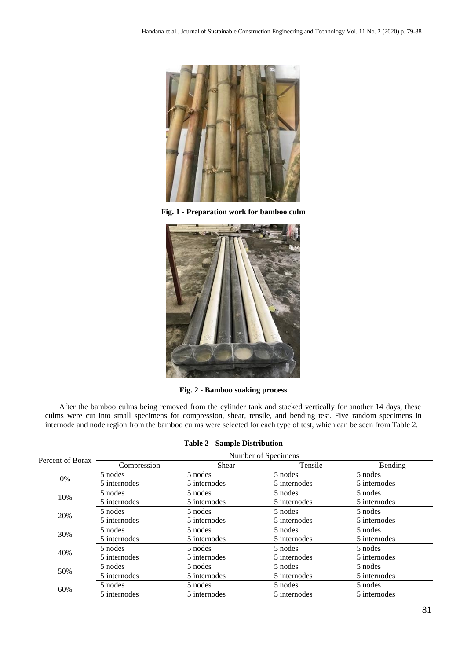

**Fig. 1 - Preparation work for bamboo culm** 



**Fig. 2 - Bamboo soaking process**

After the bamboo culms being removed from the cylinder tank and stacked vertically for another 14 days, these culms were cut into small specimens for compression, shear, tensile, and bending test. Five random specimens in internode and node region from the bamboo culms were selected for each type of test, which can be seen from Table 2.

|                  |                     | $\mu$        |              |              |  |  |  |
|------------------|---------------------|--------------|--------------|--------------|--|--|--|
| Percent of Borax | Number of Specimens |              |              |              |  |  |  |
|                  | Compression         | <b>Shear</b> | Tensile      | Bending      |  |  |  |
| 0%               | 5 nodes             | 5 nodes      | 5 nodes      | 5 nodes      |  |  |  |
|                  | 5 internodes        | 5 internodes | 5 internodes | 5 internodes |  |  |  |
| 10%              | 5 nodes             | 5 nodes      | 5 nodes      | 5 nodes      |  |  |  |
|                  | 5 internodes        | 5 internodes | 5 internodes | 5 internodes |  |  |  |
| 20%              | 5 nodes             | 5 nodes      | 5 nodes      | 5 nodes      |  |  |  |
|                  | 5 internodes        | 5 internodes | 5 internodes | 5 internodes |  |  |  |
| 30%              | 5 nodes             | 5 nodes      | 5 nodes      | 5 nodes      |  |  |  |
|                  | 5 internodes        | 5 internodes | 5 internodes | 5 internodes |  |  |  |
| 40%              | 5 nodes             | 5 nodes      | 5 nodes      | 5 nodes      |  |  |  |
|                  | 5 internodes        | 5 internodes | 5 internodes | 5 internodes |  |  |  |
| 50%              | 5 nodes             | 5 nodes      | 5 nodes      | 5 nodes      |  |  |  |
|                  | 5 internodes        | 5 internodes | 5 internodes | 5 internodes |  |  |  |
| 60%              | 5 nodes             | 5 nodes      | 5 nodes      | 5 nodes      |  |  |  |
|                  | 5 internodes        | 5 internodes | 5 internodes | 5 internodes |  |  |  |

|  |  |  |  | <b>Table 2 - Sample Distribution</b> |  |  |  |  |  |
|--|--|--|--|--------------------------------------|--|--|--|--|--|
|--|--|--|--|--------------------------------------|--|--|--|--|--|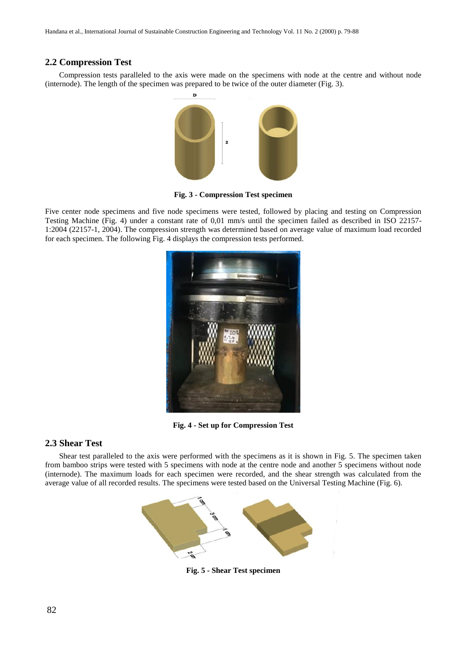# **2.2 Compression Test**

Compression tests paralleled to the axis were made on the specimens with node at the centre and without node (internode). The length of the specimen was prepared to be twice of the outer diameter (Fig. 3).



**Fig. 3 - Compression Test specimen**

Five center node specimens and five node specimens were tested, followed by placing and testing on Compression Testing Machine (Fig. 4) under a constant rate of 0,01 mm/s until the specimen failed as described in ISO 22157- 1:2004 (22157-1, 2004). The compression strength was determined based on average value of maximum load recorded for each specimen. The following Fig. 4 displays the compression tests performed.



**Fig. 4 - Set up for Compression Test**

## **2.3 Shear Test**

Shear test paralleled to the axis were performed with the specimens as it is shown in Fig. 5. The specimen taken from bamboo strips were tested with 5 specimens with node at the centre node and another 5 specimens without node (internode). The maximum loads for each specimen were recorded, and the shear strength was calculated from the average value of all recorded results. The specimens were tested based on the Universal Testing Machine (Fig. 6).



**Fig. 5 - Shear Test specimen**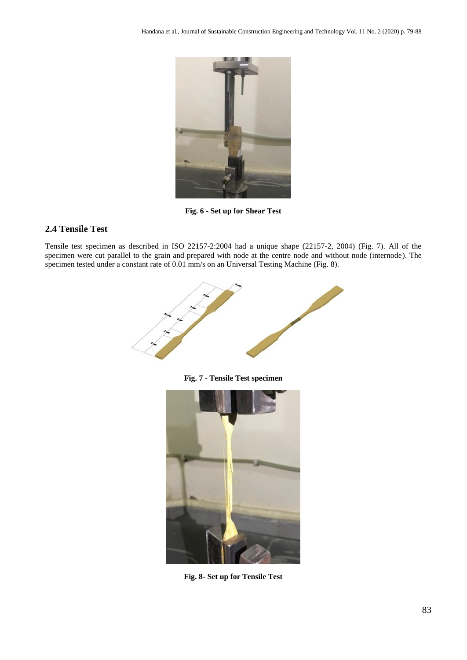

**Fig. 6 - Set up for Shear Test**

# **2.4 Tensile Test**

Tensile test specimen as described in ISO 22157-2:2004 had a unique shape (22157-2, 2004) (Fig. 7). All of the specimen were cut parallel to the grain and prepared with node at the centre node and without node (internode). The specimen tested under a constant rate of 0.01 mm/s on an Universal Testing Machine (Fig. 8).



**Fig. 7 - Tensile Test specimen**



**Fig. 8- Set up for Tensile Test**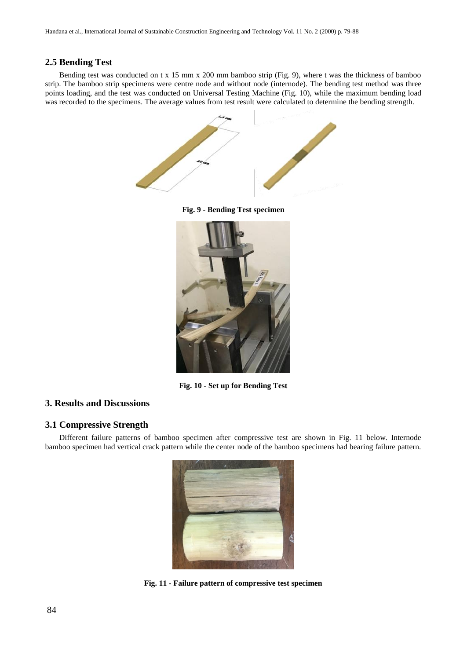# **2.5 Bending Test**

Bending test was conducted on t x 15 mm x 200 mm bamboo strip (Fig. 9), where t was the thickness of bamboo strip. The bamboo strip specimens were centre node and without node (internode). The bending test method was three points loading, and the test was conducted on Universal Testing Machine (Fig. 10), while the maximum bending load was recorded to the specimens. The average values from test result were calculated to determine the bending strength.



**Fig. 9 - Bending Test specimen**



**Fig. 10 - Set up for Bending Test**

# **3. Results and Discussions**

# **3.1 Compressive Strength**

Different failure patterns of bamboo specimen after compressive test are shown in Fig. 11 below. Internode bamboo specimen had vertical crack pattern while the center node of the bamboo specimens had bearing failure pattern.



**Fig. 11 - Failure pattern of compressive test specimen**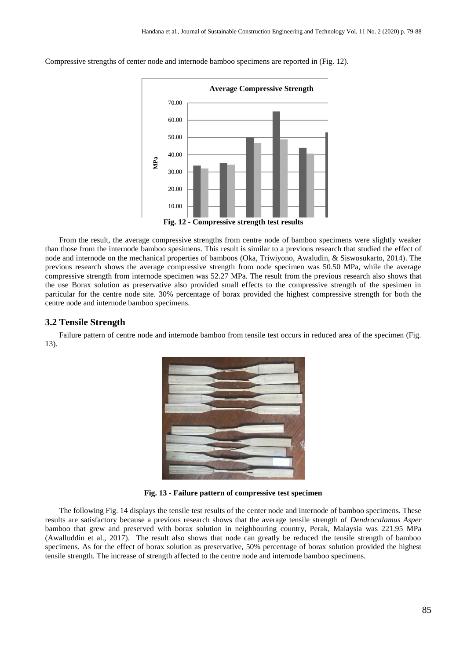

Compressive strengths of center node and internode bamboo specimens are reported in (Fig. 12).

From the result, the average compressive strengths from centre node of bamboo specimens were slightly weaker than those from the internode bamboo spesimens. This result is similar to a previous research that studied the effect of node and internode on the mechanical properties of bamboos (Oka, Triwiyono, Awaludin, & Siswosukarto, 2014). The previous research shows the average compressive strength from node specimen was 50.50 MPa, while the average compressive strength from internode specimen was 52.27 MPa. The result from the previous research also shows that the use Borax solution as preservative also provided small effects to the compressive strength of the spesimen in particular for the centre node site. 30% percentage of borax provided the highest compressive strength for both the centre node and internode bamboo specimens.

#### **3.2 Tensile Strength**

Failure pattern of centre node and internode bamboo from tensile test occurs in reduced area of the specimen (Fig. 13).



**Fig. 13 - Failure pattern of compressive test specimen**

The following Fig. 14 displays the tensile test results of the center node and internode of bamboo specimens. These results are satisfactory because a previous research shows that the average tensile strength of *Dendrocalamus Asper* bamboo that grew and preserved with borax solution in neighbouring country, Perak, Malaysia was 221.95 MPa (Awalluddin et al., 2017). The result also shows that node can greatly be reduced the tensile strength of bamboo specimens. As for the effect of borax solution as preservative, 50% percentage of borax solution provided the highest tensile strength. The increase of strength affected to the centre node and internode bamboo specimens.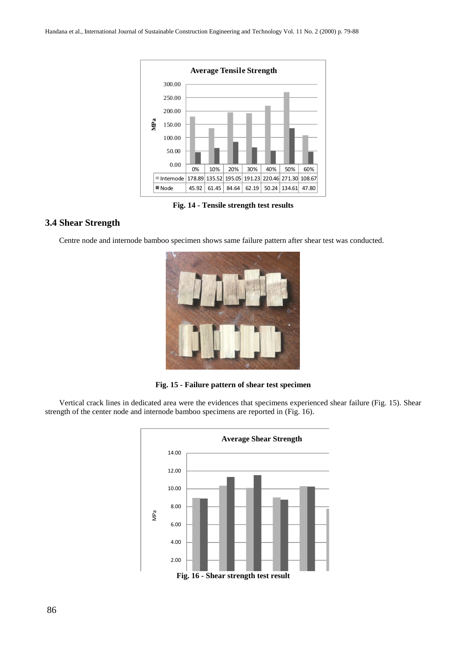

**Fig. 14 - Tensile strength test results**

# **3.4 Shear Strength**

Centre node and internode bamboo specimen shows same failure pattern after shear test was conducted.



**Fig. 15 - Failure pattern of shear test specimen**

Vertical crack lines in dedicated area were the evidences that specimens experienced shear failure (Fig. 15). Shear strength of the center node and internode bamboo specimens are reported in (Fig. 16).

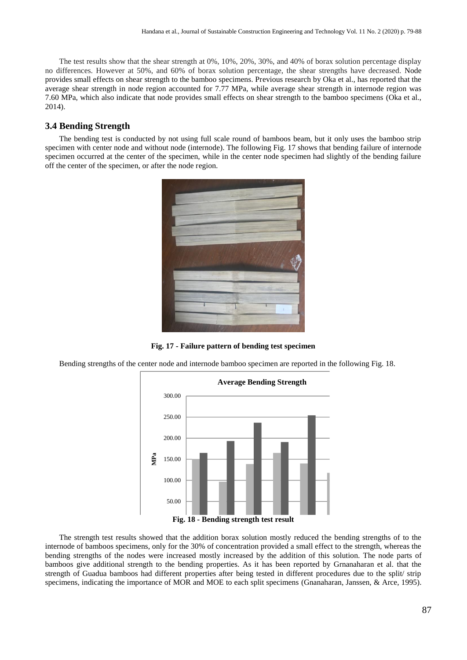The test results show that the shear strength at 0%, 10%, 20%, 30%, and 40% of borax solution percentage display no differences. However at 50%, and 60% of borax solution percentage, the shear strengths have decreased. Node provides small effects on shear strength to the bamboo specimens. Previous research by Oka et al., has reported that the average shear strength in node region accounted for 7.77 MPa, while average shear strength in internode region was 7.60 MPa, which also indicate that node provides small effects on shear strength to the bamboo specimens (Oka et al., 2014).

# **3.4 Bending Strength**

The bending test is conducted by not using full scale round of bamboos beam, but it only uses the bamboo strip specimen with center node and without node (internode). The following Fig. 17 shows that bending failure of internode specimen occurred at the center of the specimen, while in the center node specimen had slightly of the bending failure off the center of the specimen, or after the node region.



**Fig. 17 - Failure pattern of bending test specimen**

Bending strengths of the center node and internode bamboo specimen are reported in the following Fig. 18.



The strength test results showed that the addition borax solution mostly reduced the bending strengths of to the internode of bamboos specimens, only for the 30% of concentration provided a small effect to the strength, whereas the bending strengths of the nodes were increased mostly increased by the addition of this solution. The node parts of bamboos give additional strength to the bending properties. As it has been reported by Grnanaharan et al. that the strength of Guadua bamboos had different properties after being tested in different procedures due to the split/ strip specimens, indicating the importance of MOR and MOE to each split specimens (Gnanaharan, Janssen, & Arce, 1995).